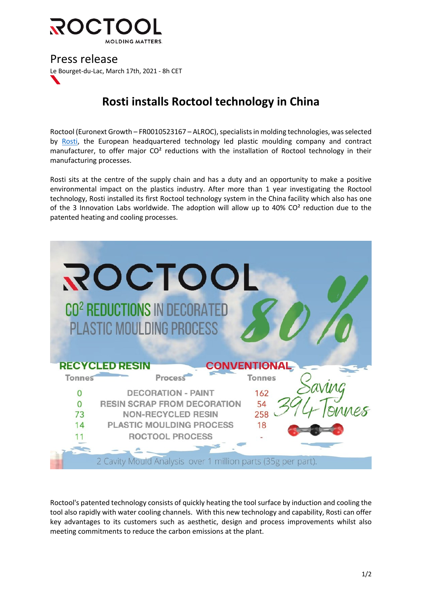

Press release Le Bourget-du-Lac, March 17th, 2021 - 8h CET

## **Rosti installs Roctool technology in China**

Roctool (Euronext Growth – FR0010523167 – ALROC), specialists in molding technologies, was selected by Rosti, the European headquartered technology led plastic moulding company and contract manufacturer, to offer major  $CO<sup>2</sup>$  reductions with the installation of Roctool technology in their manufacturing processes.

Rosti sits at the centre of the supply chain and has a duty and an opportunity to make a positive environmental impact on the plastics industry. After more than 1 year investigating the Roctool technology, Rosti installed its first Roctool technology system in the China facility which also has one of the 3 Innovation Labs worldwide. The adoption will allow up to 40% CO<sup>2</sup> reduction due to the patented heating and cooling processes.

|               | ROCTOOL<br>CO <sup>2</sup> REDUCTIONS IN DECORATED<br><b>PLASTIC MOULDING PROCESS</b> |                     |
|---------------|---------------------------------------------------------------------------------------|---------------------|
|               | <b>RECYCLED RESIN</b>                                                                 | <b>CONVENTIONAL</b> |
| <b>Tonnes</b> | Process                                                                               | <b>Tonnes</b>       |
| 0             | <b>DECORATION - PAINT</b>                                                             | 162                 |
|               | <b>RESIN SCRAP FROM DECORATION</b>                                                    | 54                  |
| 73            | <b>NON-RECYCLED RESIN</b>                                                             | 258                 |
| 14            | <b>PLASTIC MOULDING PROCESS</b>                                                       | 18                  |
|               | <b>ROCTOOL PROCESS</b>                                                                |                     |
|               | 2 Cavity Mould Analysis over 1 million parts (35g per part).                          |                     |

Roctool's patented technology consists of quickly heating the tool surface by induction and cooling the tool also rapidly with water cooling channels. With this new technology and capability, Rosti can offer key advantages to its customers such as aesthetic, design and process improvements whilst also meeting commitments to reduce the carbon emissions at the plant.